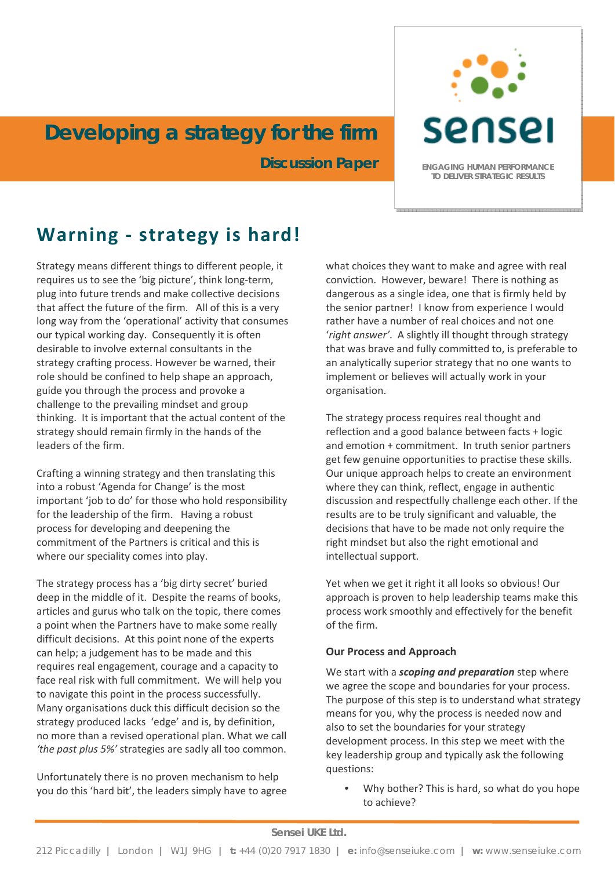# **Developing a strategy for the firm**

 **Discussion Paper**



## **Warning ‐ strategy is hard!**

Strategy means different things to different people, it requires us to see the 'big picture', think long‐term, plug into future trends and make collective decisions that affect the future of the firm. All of this is a very long way from the 'operational' activity that consumes our typical working day. Consequently it is often desirable to involve external consultants in the strategy crafting process. However be warned, their role should be confined to help shape an approach, guide you through the process and provoke a challenge to the prevailing mindset and group thinking. It is important that the actual content of the strategy should remain firmly in the hands of the leaders of the firm.

Crafting a winning strategy and then translating this into a robust 'Agenda for Change' is the most important 'job to do' for those who hold responsibility for the leadership of the firm. Having a robust process for developing and deepening the commitment of the Partners is critical and this is where our speciality comes into play.

The strategy process has a 'big dirty secret' buried deep in the middle of it. Despite the reams of books, articles and gurus who talk on the topic, there comes a point when the Partners have to make some really difficult decisions. At this point none of the experts can help; a judgement has to be made and this requires real engagement, courage and a capacity to face real risk with full commitment. We will help you to navigate this point in the process successfully. Many organisations duck this difficult decision so the strategy produced lacks 'edge' and is, by definition, no more than a revised operational plan. What we call *'the past plus 5%'* strategies are sadly all too common.

Unfortunately there is no proven mechanism to help you do this 'hard bit', the leaders simply have to agree what choices they want to make and agree with real conviction. However, beware! There is nothing as dangerous as a single idea, one that is firmly held by the senior partner! I know from experience I would rather have a number of real choices and not one '*right answer'*. A slightly ill thought through strategy that was brave and fully committed to, is preferable to an analytically superior strategy that no one wants to implement or believes will actually work in your organisation.

The strategy process requires real thought and reflection and a good balance between facts + logic and emotion + commitment. In truth senior partners get few genuine opportunities to practise these skills. Our unique approach helps to create an environment where they can think, reflect, engage in authentic discussion and respectfully challenge each other. If the results are to be truly significant and valuable, the decisions that have to be made not only require the right mindset but also the right emotional and intellectual support.

Yet when we get it right it all looks so obvious! Our approach is proven to help leadership teams make this process work smoothly and effectively for the benefit of the firm.

### **Our Process and Approach**

We start with a *scoping and preparation* step where we agree the scope and boundaries for your process. The purpose of this step is to understand what strategy means for you, why the process is needed now and also to set the boundaries for your strategy development process. In this step we meet with the key leadership group and typically ask the following questions:

• Why bother? This is hard, so what do you hope to achieve?

#### **Sensei UKE Ltd.**